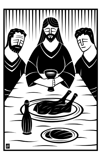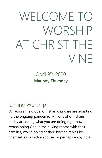# WELCOME TO WORSHIP AT CHRIST THE VINE

## April 9<sup>th</sup>, 2020 **Maundy Thursday**

# Online Worship

All across the globe, Christian churches are adapting to the ongoing pandemic. Millions of Christians today are doing what you are doing right now: worshipping God in their living rooms with their families, worshipping at their kitchen tables by themselves or with a spouse, or perhaps enjoying a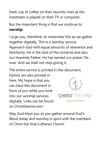fresh cup of coffee on their favorite chair as the livestream is played on their TV or computer.

But the important thing is that we continue to *worship*.

I urge you, therefore, to remember this as we gather together digitally. This is a worship service. Approach God with equal amounts of reverence and familiarity. He is the God of the Universe and also our heavenly Father. He has earned our praise 10x over. And we shall not stop giving it.

The entire service is printed in this document.

Hymns are also printed in here. My hope is that you can have this document in front of you while you tune into our worship services digitally. Links can be found on Christthevine com



May God bless you as you gather around God's Word today and worship in spirit with the members of Christ the Vine Lutheran Church.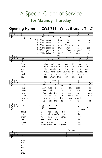#### A Special Order of Service **for Maundy Thursday Opening Hymn ..... CWS 715 | What Grace Is This?** $\mathbf{1}$ What grace is this!  $Mv$ Lord and  $\overline{2}$ What grace is  $this -$ That ve ry 3 What grace is this! Though Lord  $\overline{of}$  $\overline{4}$ What grace is this! Rude ă gon -5 What grace is this! Once wrapped in 6 What grace is this? How it can  $\overline{\mathcal{A}}$ King Has set his face  $\overline{f}$  $\text{snf}$  - fer God Would stoop to lift cross a of all. He vields to Pon  $$ tius Pil - ate's ies! With com - mon thieves he hangs and cloths  $gent - ly$ laid in And man - ger be? He  $hu - mil - i$ wears this raw My God ing.  $\rm e$ ter nal dies to And walk road wood  $\mathbf{a}$ of rock and lets the  $Ro$ ham law And  $\sim$ man mers bleeds. The  $sin - less$ Son bears each mis-He's ta - ken. trough, dead, from wretch ed **To** lift ty me to e ter  $\overline{\mathbf{n}}$  ø bring  $E$  $ter$ nal life to blood, A sin - ner's road, for draw A rush of blood for deed. He pays for all. for And wrapped a cross gain for Such grace-sweet gracety. for Last time me. me. me. me. me. me.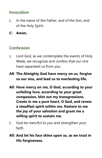#### **Invocation**

- L: In the name of the Father, and of the Son, and of the Holy Spirit.
- **C: Amen.**

## **Confession**

- L: Lord God, as we contemplate the events of Holy Week, we recognize and confess that our sins have separated us from you.
- **All: The Almighty God have mercy on us, forgive us our sins, and lead us to everlasting life.**
- **All: Have mercy on me, O God, according to your unfailing love; according to your great compassion, blot out my transgressions. Create in me a pure heart, O God, and renew a steadfast spirit within me. Restore to me the joy of your salvation and grant me a willing spirit to sustain me.**
- L: God be merciful to you and strengthen your faith.
- **All: And let his face shine upon us, as we trust in His forgiveness.**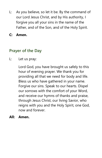L: As you believe, so let it be. By the command of our Lord Jesus Christ, and by His authority, I forgive you all your sins in the name of the Father, and of the Son, and of the Holy Spirit.

**C: Amen.**

### **Prayer of the Day**

#### L: Let us pray:

Lord God, you have brought us safely to this hour of evening prayer. We thank you for providing all that we need for body and life. Bless us who have gathered in your name. Forgive our sins. Speak to our hearts. Dispel our sorrows with the comfort of your Word, and receive our hymns of thanks and praise, through Jesus Christ, our living Savior, who reigns with you and the Holy Spirit, one God, now and forever.

#### **All: Amen.**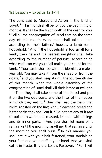#### **1st Lesson – Exodus 12:1-14**

The LORD said to Moses and Aaron in the land of Egypt, **<sup>2</sup>** "This month shall be for you the beginning of months. It shall be the first month of the year for you. **3** Tell all the congregation of Israel that on the tenth day of this month every man shall take a lamb according to their fathers' houses, a lamb for a household. **<sup>4</sup>** And if the household is too small for a lamb, then he and his nearest neighbor shall take according to the number of persons; according to what each can eat you shall make your count for the lamb. **<sup>5</sup>** Your lamb shall be without blemish, a male a year old. You may take it from the sheep or from the goats, **<sup>6</sup>** and you shall keep it until the fourteenth day of this month, when the whole assembly of the congregation of Israel shall kill their lambs at twilight.

<sup>7</sup> "Then they shall take some of the blood and put it on the two doorposts and the lintel of the houses in which they eat it. **<sup>8</sup>** They shall eat the flesh that night, roasted on the fire; with unleavened bread and bitter herbs they shall eat it. **<sup>9</sup>** Do not eat any of it raw or boiled in water, but roasted, its head with its legs and its inner parts. **<sup>10</sup>** And you shall let none of it remain until the morning; anything that remains until the morning you shall burn. **<sup>11</sup>** In this manner you shall eat it: with your belt fastened, your sandals on your feet, and your staff in your hand. And you shall eat it in haste. It is the LORD's Passover. **<sup>12</sup>** For I will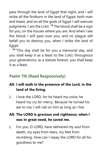pass through the land of Egypt that night, and I will strike all the firstborn in the land of Egypt, both man and beast; and on all the gods of Egypt I will execute judgments: I am the LORD. **<sup>13</sup>** The blood shall be a sign for you, on the houses where you are. And when I see the blood, I will pass over you, and no plague will befall you to destroy you, when I strike the land of Egypt.

**<sup>14</sup>** "This day shall be for you a memorial day, and you shall keep it as a feast to the LORD; throughout your generations, as a statute forever, you shall keep it as a feast.

#### **Psalm 116 (Read Responsively)**

#### **All: I will walk in the presence of the Lord, in the land of the living.**

L: I love the LORD, for he heard my voice; he heard my cry for mercy. Because he turned his ear to me, I will call on him as long as I live.

#### **All: The LORD is gracious and righteous; when I was in great need, he saved me.**

L: For you, O LORD, have delivered my soul from death, my eyes from tears, my feet from stumbling. How can I repay the LORD for all his goodness to me?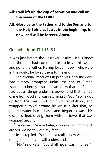- **All: I will lift up the cup of salvation and call on the name of the LORD.**
- **All: Glory be to the Father and to the Son and to the Holy Spirit, as it was in the beginning, is now, and will be forever. Amen.**

#### **Gospel – John 13:1-15, 34**

It was just before the Passover Festival. Jesus knew that the hour had come for him to leave this world and go to the Father. Having loved his own who were in the world, he loved them to the end.

 $2$  The evening meal was in progress, and the devil had already prompted Judas, the son of Simon Iscariot, to betray Jesus.  $3$  Jesus knew that the Father had put all things under his power, and that he had come from God and was returning to God; <sup>4</sup> so he got up from the meal, took off his outer clothing, and wrapped a towel around his waist.<sup>5</sup> After that, he poured water into a basin and began to wash his disciples' feet, drying them with the towel that was wrapped around him.

 $6$  He came to Simon Peter, who said to him, "Lord, are you going to wash my feet?"

<sup>7</sup> Jesus replied, "You do not realize now what I am doing, but later you will understand."

<sup>8</sup> "No," said Peter, "you shall never wash my feet."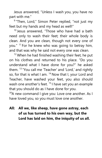Jesus answered, "Unless I wash you, you have no part with me."

<sup>9</sup> "Then, Lord," Simon Peter replied, "not just my feet but my hands and my head as well!"

<sup>10</sup> Jesus answered, "Those who have had a bath need only to wash their feet; their whole body is clean. And you are clean, though not every one of you."  $11$  For he knew who was going to betray him, and that was why he said not every one was clean.

 $12$  When he had finished washing their feet, he put on his clothes and returned to his place. "Do you understand what I have done for you?" he asked them. <sup>13</sup> "You call me 'Teacher' and 'Lord,' and rightly so, for that is what I am.  $14$  Now that I, your Lord and Teacher, have washed your feet, you also should wash one another's feet. <sup>15</sup> I have set you an example that you should do as I have done for you.

 $34A$  new command I give you: Love one another. As I have loved you, so you must love one another.

**All: All we, like sheep, have gone astray, each of us has turned to his own way, but the Lord has laid on him, the iniquity of us all.**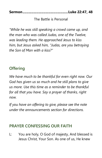**Sermon..............................................Luke 22:47, 48**

#### The Battle is Personal

*"While he was still speaking a crowd came up, and the man who was called Judas, one of the Twelve, was leading them. He approached Jesus to kiss him, but Jesus asked him, "Judas, are you betraying the Son of Man with a kiss?"*

#### **Offering**

*We have much to be thankful for even right now. Our God has given us so much and he still plans to give us more. Use this time as a reminder to be thankful for all that you have. Say a prayer of thanks, right now.* 

*If you have an offering to give, please see the note under the announcements section for directions.* 

#### **PRAYER CONFESSING OUR FAITH**

L: You are holy, O God of majesty, And blessed is Jesus Christ, Your Son. As one of us, He knew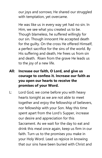our joys and sorrows; He shared our struggled with temptation, yet overcame.

He was like us in every way yet had no sin. In Him, we see what you created us to be. Though blameless, he suffered willingly for our sin. Though innocent He accepted death for the guilty. On the cross He offered Himself, a perfect sacrifice for the sins of the world. By His suffering and death, He frees us from sin and death. Risen from the grave He leads us to the joy of a new life.

- **All: Increase our faith, O Lord, and give us courage to confess it. Increase our faith as you open our hearts to receive the promises of your Word.**
- L: Lord God, we come before you with heavy hearts tonight as we are not able to meet together and enjoy the fellowship of believers, nor fellowship with your Son. May this time spent apart from the Lord's Supper, increase our desire and appreciation for this Sacrament. As we wait for the day to eat and drink this meal once again, keep us firm in our faith. Turn us to the promises you make in your Holy Word. Lead us rejoice in knowing that our sins have been buried with Christ and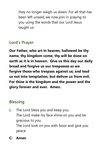they no longer weigh us down. For all that has been left unsaid, we now join in praying to you using the words that our Lord Jesus taught us:

#### **Lord's Prayer**

**Our Father, who art in heaven, hallowed be thy name, thy kingdom come, thy will be done on earth as it is in heaven. Give us this day our daily bread and forgive us our trespasses as we forgive those who trespass against us; and lead us not into temptation, but deliver us from evil. For thine is the kingdom and the power and the glory forever and ever. Amen.**

#### **Blessing**

- L: The Lord bless you and keep you. The Lord make his face shine on you and be gracious to you. The Lord look on you with favor and give you peace.
- **C: Amen**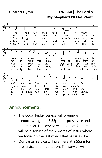#### **Closing Hymn .........................CW 360 | The Lord's My Shepherd I'll Not Want** The Lord's herd:  $1'11$ He 1 my shep not want. 2  $Mv$ soul he doth re store  $a$ gain And 3 Yea. though  $\bf{I}$ walk in death's dark vale. Yet  $4$  My ble thou hast fur nish - ed In ta 5 Good - ness and mer all my life. **Shall** CV, makes me down to lie In he pas tures green;  $\overline{\phantom{a}}$ walk make me  $10<sub>1</sub>$ doth With - in the paths οf will fear ill: For thou with  $\bf{I}$  $no$ art me. pres - ence of my foes:  $Mv$ head thou dost with sure  $-1y$ fol  $\overline{\phantom{a}}$ low me, And in God's house for  $$ lead eth me The  $\sim$ qui et wa ters by.  $right$ eous - ness. E'en for his sake. name's own and thy rod And staff me com fort still. oil a - noint. And my cup  $\mathbf{o}$  $ver$ flows. er - more dwell ev My. ing  $\overline{a}$ place shall be.

#### **Announcements:**

- The Good Friday service will premiere tomorrow night at 6:55pm for preservice and meditation. The service will begin at 7pm. It will be a service of the 7 words of Jesus, where we focus on the last words that Jesus spoke.
- Our Easter service will premiere at 9:55am for preservice and meditation. The service will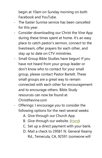begin at 10am on Sunday morning on both Facebook and YouTube.

- The Easter Sunrise service has been cancelled for this year.
- Consider downloading our Christ the Vine App during these times spent at home. It's an easy place to catch pastor's sermon, connect to the livestream, offer prayers for each other, and stay up to date on CTV ministries.
- Small Group Bible Studies have begun! If you have not heard from your group leader or don't know who to contact for your small group, please contact Pastor Bartelt. These small groups are a great way to remain connected with each other for encouragement and to encourage others. Bible Study resources can now be found at Christthevine.com
- Offerings: I encourage you to consider the following options for the next several weeks:
	- A. Give through our Church App
	- B. Give through our website. [\(Here\)](https://www.christthevine.com/give)
	- C. Set up a direct payment with your bank.
	- D. Mail a check to 29581 N. General Kearny Rd., Temecula, CA, 92591 (someone will